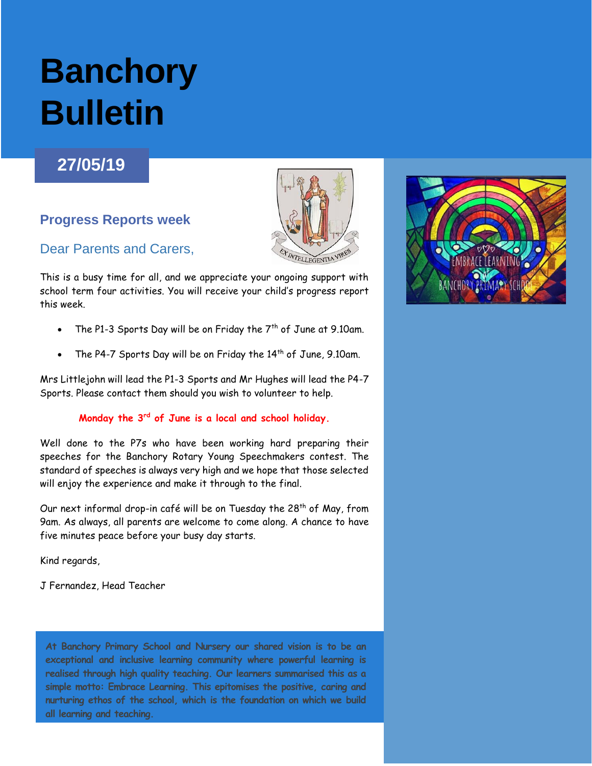# **Banchory Bulletin**

## **27/05/19**

### **Progress Reports week**

#### Dear Parents and Carers,

This is a busy time for all, and we appreciate your ongoing support with school term four activities. You will receive your child's progress report this week.

- The P1-3 Sports Day will be on Friday the  $7<sup>th</sup>$  of June at 9.10am.
- The P4-7 Sports Day will be on Friday the  $14<sup>th</sup>$  of June, 9.10am.

Mrs Littlejohn will lead the P1-3 Sports and Mr Hughes will lead the P4-7 Sports. Please contact them should you wish to volunteer to help.

#### **Monday the 3rd of June is a local and school holiday.**

Well done to the P7s who have been working hard preparing their speeches for the Banchory Rotary Young Speechmakers contest. The standard of speeches is always very high and we hope that those selected will enjoy the experience and make it through to the final.

Our next informal drop-in café will be on Tuesday the 28<sup>th</sup> of May, from 9am. As always, all parents are welcome to come along. A chance to have five minutes peace before your busy day starts.

Kind regards,

J Fernandez, Head Teacher

**At Banchory Primary School and Nursery our shared vision is to be an exceptional and inclusive learning community where powerful learning is realised through high quality teaching. Our learners summarised this as a simple motto: Embrace Learning. This epitomises the positive, caring and nurturing ethos of the school, which is the foundation on which we build all learning and teaching.**

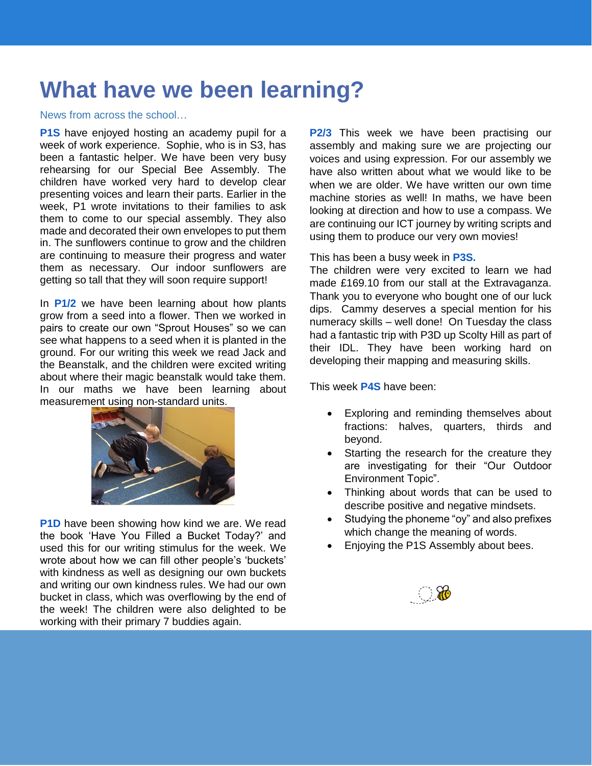# **What have we been learning?**

#### News from across the school…

**P1S** have enjoyed hosting an academy pupil for a week of work experience. Sophie, who is in S3, has been a fantastic helper. We have been very busy rehearsing for our Special Bee Assembly. The children have worked very hard to develop clear presenting voices and learn their parts. Earlier in the week, P1 wrote invitations to their families to ask them to come to our special assembly. They also made and decorated their own envelopes to put them in. The sunflowers continue to grow and the children are continuing to measure their progress and water them as necessary. Our indoor sunflowers are getting so tall that they will soon require support!

In **P1/2** we have been learning about how plants grow from a seed into a flower. Then we worked in pairs to create our own "Sprout Houses" so we can see what happens to a seed when it is planted in the ground. For our writing this week we read Jack and the Beanstalk, and the children were excited writing about where their magic beanstalk would take them. In our maths we have been learning about measurement using non-standard units.



**P1D** have been showing how kind we are. We read the book 'Have You Filled a Bucket Today?' and used this for our writing stimulus for the week. We wrote about how we can fill other people's 'buckets' with kindness as well as designing our own buckets and writing our own kindness rules. We had our own bucket in class, which was overflowing by the end of the week! The children were also delighted to be working with their primary 7 buddies again.

**P2/3** This week we have been practising our assembly and making sure we are projecting our voices and using expression. For our assembly we have also written about what we would like to be when we are older. We have written our own time machine stories as well! In maths, we have been looking at direction and how to use a compass. We are continuing our ICT journey by writing scripts and using them to produce our very own movies!

This has been a busy week in **P3S.**

The children were very excited to learn we had made £169.10 from our stall at the Extravaganza. Thank you to everyone who bought one of our luck dips. Cammy deserves a special mention for his numeracy skills – well done! On Tuesday the class had a fantastic trip with P3D up Scolty Hill as part of their IDL. They have been working hard on developing their mapping and measuring skills.

This week **P4S** have been:

- Exploring and reminding themselves about fractions: halves, quarters, thirds and beyond.
- Starting the research for the creature they are investigating for their "Our Outdoor Environment Topic".
- Thinking about words that can be used to describe positive and negative mindsets.
- Studying the phoneme "oy" and also prefixes which change the meaning of words.
- Enjoying the P1S Assembly about bees.

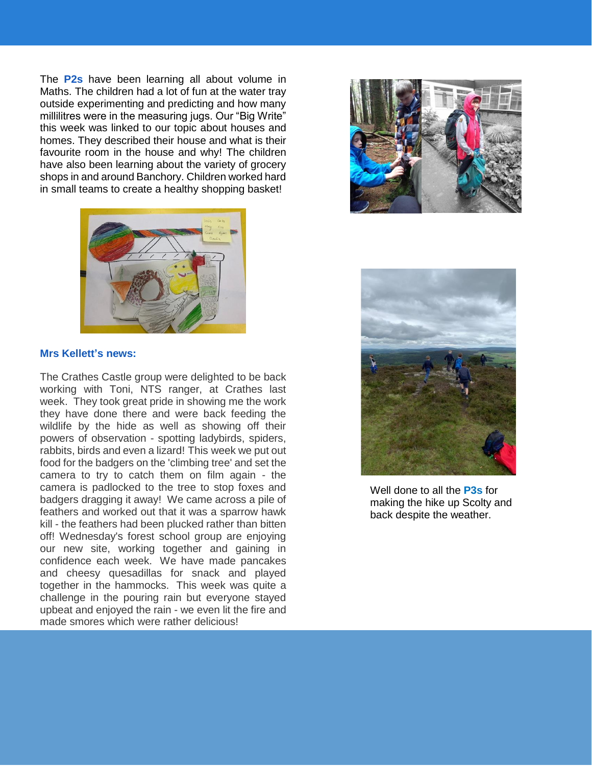The **P2s** have been learning all about volume in Maths. The children had a lot of fun at the water tray outside experimenting and predicting and how many millilitres were in the measuring jugs. Our "Big Write" this week was linked to our topic about houses and homes. They described their house and what is their favourite room in the house and why! The children have also been learning about the variety of grocery shops in and around Banchory. Children worked hard in small teams to create a healthy shopping basket!







Well done to all the **P3s** for making the hike up Scolty and back despite the weather.

#### **Mrs Kellett's news:**

The Crathes Castle group were delighted to be back working with Toni, NTS ranger, at Crathes last week. They took great pride in showing me the work they have done there and were back feeding the wildlife by the hide as well as showing off their powers of observation - spotting ladybirds, spiders, rabbits, birds and even a lizard! This week we put out food for the badgers on the 'climbing tree' and set the camera to try to catch them on film again - the camera is padlocked to the tree to stop foxes and badgers dragging it away! We came across a pile of feathers and worked out that it was a sparrow hawk kill - the feathers had been plucked rather than bitten off! Wednesday's forest school group are enjoying our new site, working together and gaining in confidence each week. We have made pancakes and cheesy quesadillas for snack and played together in the hammocks. This week was quite a challenge in the pouring rain but everyone stayed upbeat and enjoyed the rain - we even lit the fire and made smores which were rather delicious!